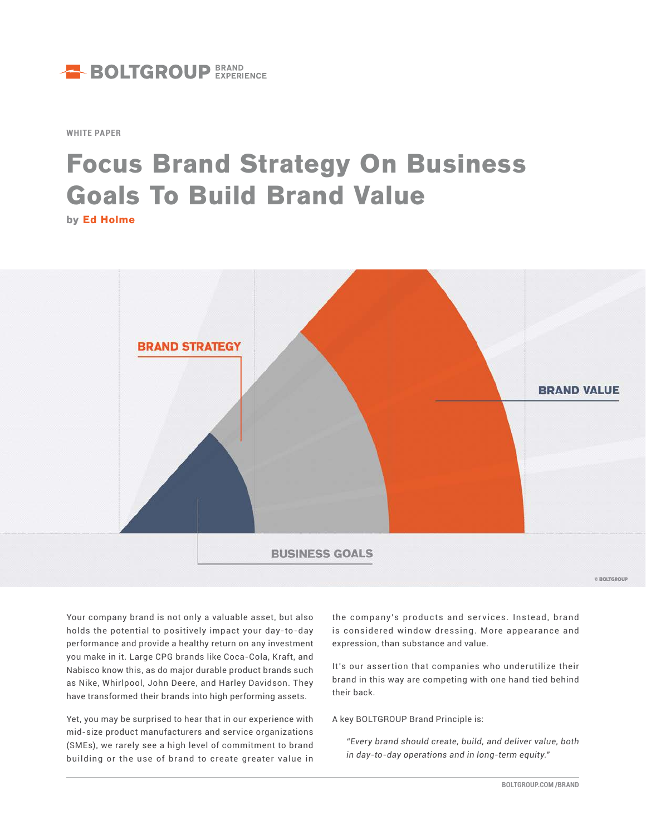

**WHITE PAPER**

# **Focus Brand Strategy On Business Goals To Build Brand Value**

**by Ed Holme**



**E BOLTGROUP** 

Your company brand is not only a valuable asset, but also holds the potential to positively impact your day-to-day performance and provide a healthy return on any investment you make in it. Large CPG brands like Coca-Cola, Kraft, and Nabisco know this, as do major durable product brands such as Nike, Whirlpool, John Deere, and Harley Davidson. They have transformed their brands into high performing assets.

Yet, you may be surprised to hear that in our experience with mid-size product manufacturers and service organizations (SMEs), we rarely see a high level of commitment to brand building or the use of brand to create greater value in

the company's products and ser vices. Instead, brand is considered window dressing. More appearance and expression, than substance and value.

It's our assertion that companies who underutilize their brand in this way are competing with one hand tied behind their back.

A key BOLTGROUP Brand Principle is:

*"Every brand should create, build, and deliver value, both in day-to-day operations and in long-term equity."*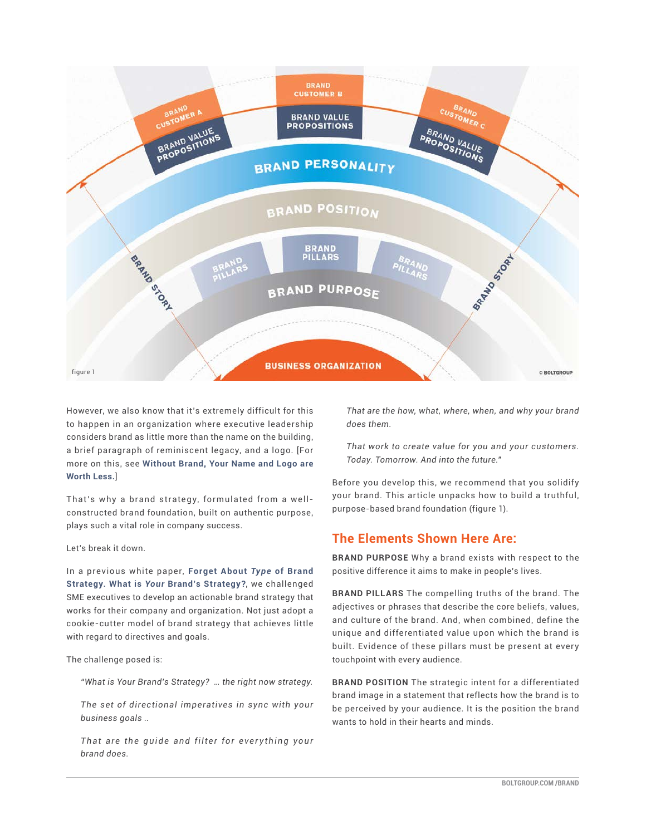

However, we also know that it's extremely difficult for this to happen in an organization where executive leadership considers brand as little more than the name on the building, a brief paragraph of reminiscent legacy, and a logo. [For more on this, see **[Without Brand, Your Name and Logo are](https://boltgroup.com/brand-value-creation)  [Worth Less.](https://boltgroup.com/brand-value-creation)**]

That's why a brand strategy, formulated from a wellconstructed brand foundation, built on authentic purpose, plays such a vital role in company success.

Let's break it down.

In a previous white paper, **[Forget About](https://boltgroup.com/your-brands-strategy)** *Type* **of Brand Strategy. What is** *Your* **[Brand's Strategy?](https://boltgroup.com/your-brands-strategy)**, we challenged SME executives to develop an actionable brand strategy that works for their company and organization. Not just adopt a cookie-cutter model of brand strategy that achieves little with regard to directives and goals.

#### The challenge posed is:

*"What is Your Brand's Strategy? … the right now strategy.* 

*The set of directional imperatives in sync with your business goals ..*

That are the guide and filter for everything your *brand does.* 

*That are the how, what, where, when, and why your brand does them.* 

*That work to create value for you and your customers. Today. Tomorrow. And into the future."*

Before you develop this, we recommend that you solidify your brand. This article unpacks how to build a truthful, purpose-based brand foundation (figure 1).

## **The Elements Shown Here Are:**

**BRAND PURPOSE** Why a brand exists with respect to the positive difference it aims to make in people's lives.

**BRAND PILLARS** The compelling truths of the brand. The adjectives or phrases that describe the core beliefs, values, and culture of the brand. And, when combined, define the unique and differentiated value upon which the brand is built. Evidence of these pillars must be present at every touchpoint with every audience.

**BRAND POSITION** The strategic intent for a differentiated brand image in a statement that reflects how the brand is to be perceived by your audience. It is the position the brand wants to hold in their hearts and minds.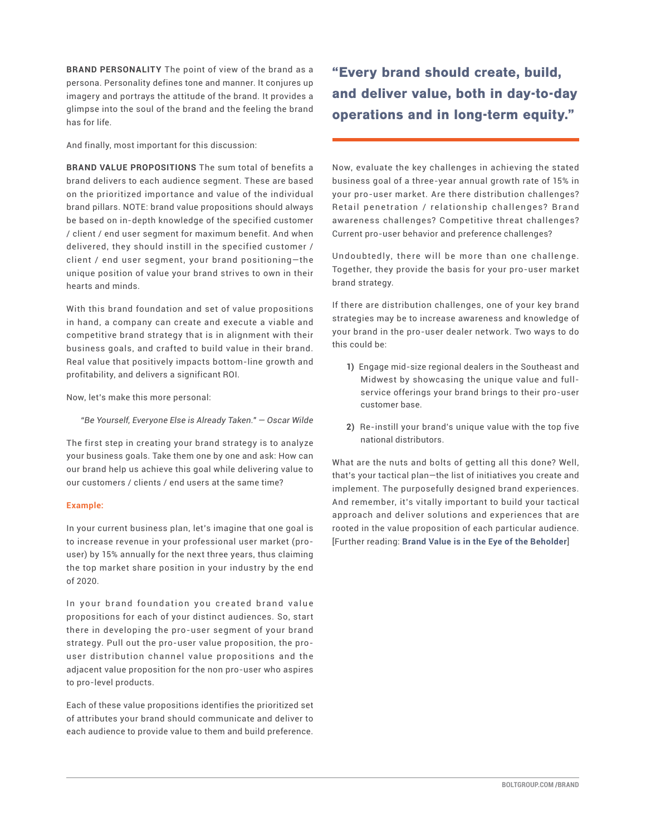**BRAND PERSONALITY** The point of view of the brand as a persona. Personality defines tone and manner. It conjures up imagery and portrays the attitude of the brand. It provides a glimpse into the soul of the brand and the feeling the brand has for life.

And finally, most important for this discussion:

**BRAND VALUE PROPOSITIONS** The sum total of benefits a brand delivers to each audience segment. These are based on the prioritized importance and value of the individual brand pillars. NOTE: brand value propositions should always be based on in-depth knowledge of the specified customer / client / end user segment for maximum benefit. And when delivered, they should instill in the specified customer / client / end user segment, your brand positioning—the unique position of value your brand strives to own in their hearts and minds.

With this brand foundation and set of value propositions in hand, a company can create and execute a viable and competitive brand strategy that is in alignment with their business goals, and crafted to build value in their brand. Real value that positively impacts bottom-line growth and profitability, and delivers a significant ROI.

Now, let's make this more personal:

*"Be Yourself, Everyone Else is Already Taken." — Oscar Wilde*

The first step in creating your brand strategy is to analyze your business goals. Take them one by one and ask: How can our brand help us achieve this goal while delivering value to our customers / clients / end users at the same time?

### **Example:**

In your current business plan, let's imagine that one goal is to increase revenue in your professional user market (prouser) by 15% annually for the next three years, thus claiming the top market share position in your industry by the end of 2020.

In your brand foundation you created brand value propositions for each of your distinct audiences. So, start there in developing the pro-user segment of your brand strategy. Pull out the pro-user value proposition, the prouser distribution channel value propositions and the adjacent value proposition for the non pro-user who aspires to pro-level products.

Each of these value propositions identifies the prioritized set of attributes your brand should communicate and deliver to each audience to provide value to them and build preference.

**"Every brand should create, build, and deliver value, both in day-to-day operations and in long-term equity."** 

Now, evaluate the key challenges in achieving the stated business goal of a three-year annual growth rate of 15% in your pro-user market. Are there distribution challenges? Retail penetration / relationship challenges? Brand awareness challenges? Competitive threat challenges? Current pro-user behavior and preference challenges?

Undoubtedly, there will be more than one challenge. Together, they provide the basis for your pro-user market brand strategy.

If there are distribution challenges, one of your key brand strategies may be to increase awareness and knowledge of your brand in the pro-user dealer network. Two ways to do this could be:

- **1)** Engage mid-size regional dealers in the Southeast and Midwest by showcasing the unique value and fullservice offerings your brand brings to their pro-user customer base.
- **2)** Re-instill your brand's unique value with the top five national distributors.

What are the nuts and bolts of getting all this done? Well, that's your tactical plan—the list of initiatives you create and implement. The purposefully designed brand experiences. And remember, it's vitally important to build your tactical approach and deliver solutions and experiences that are rooted in the value proposition of each particular audience. [Further reading: **[Brand Value is in the Eye of the Beholder](https://boltgroup.com/brand-value)**]